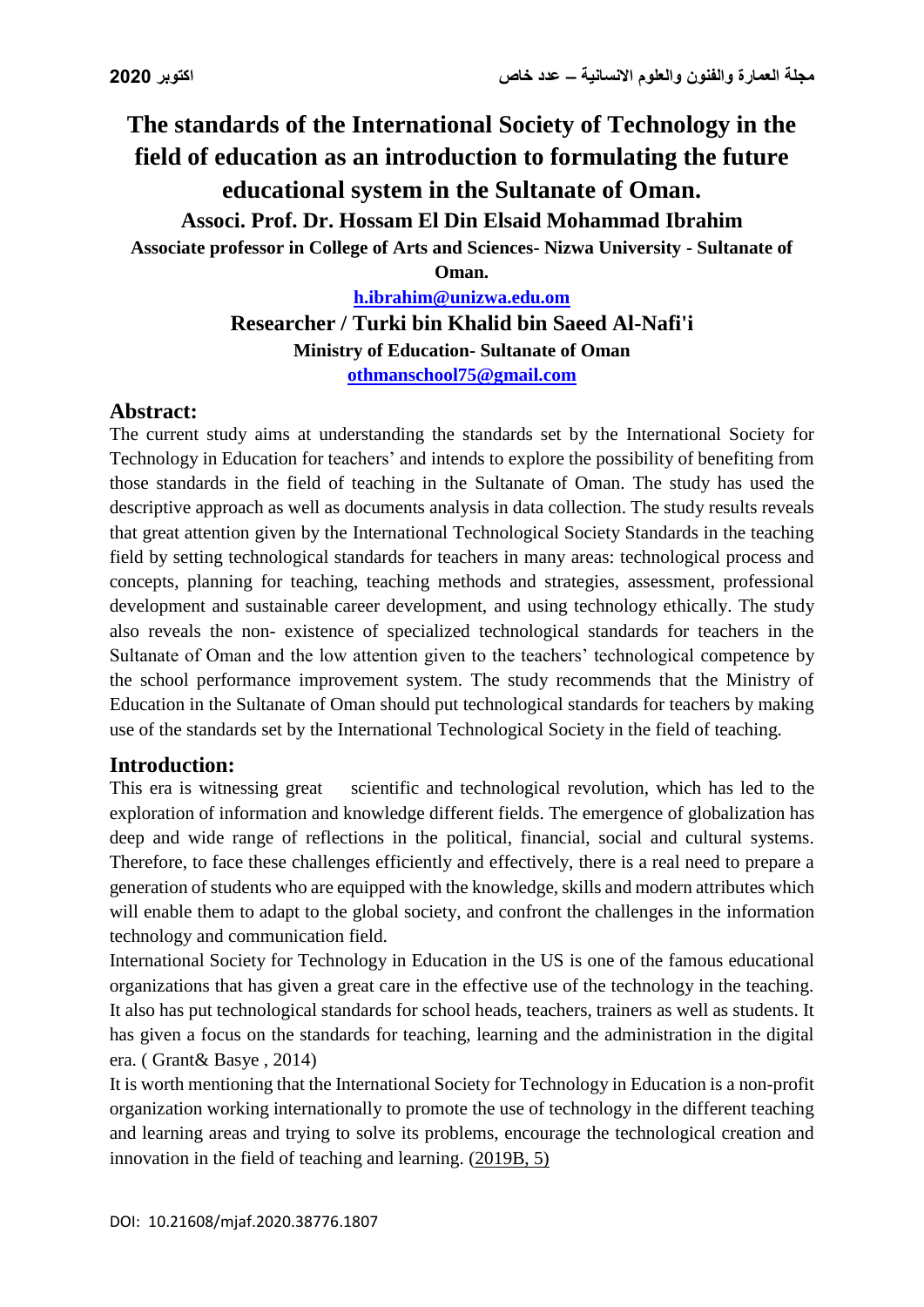# **The standards of the International Society of Technology in the field of education as an introduction to formulating the future educational system in the Sultanate of Oman.**

**Associ. Prof. Dr. Hossam El Din Elsaid Mohammad Ibrahim**

**Associate professor in College of Arts and Sciences- Nizwa University - Sultanate of** 

**Oman.**

**[h.ibrahim@unizwa.edu.om](mailto:h.ibrahim@unizwa.edu.om) Researcher / Turki bin Khalid bin Saeed Al-Nafi'i Ministry of Education- Sultanate of Oman [othmanschool75@gmail.com](mailto:othmanschool75@gmail.com)**

# **Abstract:**

The current study aims at understanding the standards set by the International Society for Technology in Education for teachers' and intends to explore the possibility of benefiting from those standards in the field of teaching in the Sultanate of Oman. The study has used the descriptive approach as well as documents analysis in data collection. The study results reveals that great attention given by the International Technological Society Standards in the teaching field by setting technological standards for teachers in many areas: technological process and concepts, planning for teaching, teaching methods and strategies, assessment, professional development and sustainable career development, and using technology ethically. The study also reveals the non- existence of specialized technological standards for teachers in the Sultanate of Oman and the low attention given to the teachers' technological competence by the school performance improvement system. The study recommends that the Ministry of Education in the Sultanate of Oman should put technological standards for teachers by making use of the standards set by the International Technological Society in the field of teaching.

# **Introduction:**

This era is witnessing great scientific and technological revolution, which has led to the exploration of information and knowledge different fields. The emergence of globalization has deep and wide range of reflections in the political, financial, social and cultural systems. Therefore, to face these challenges efficiently and effectively, there is a real need to prepare a generation of students who are equipped with the knowledge, skills and modern attributes which will enable them to adapt to the global society, and confront the challenges in the information technology and communication field.

International Society for Technology in Education in the US is one of the famous educational organizations that has given a great care in the effective use of the technology in the teaching. It also has put technological standards for school heads, teachers, trainers as well as students. It has given a focus on the standards for teaching, learning and the administration in the digital era. ( Grant& Basye , 2014)

It is worth mentioning that the International Society for Technology in Education is a non-profit organization working internationally to promote the use of technology in the different teaching and learning areas and trying to solve its problems, encourage the technological creation and innovation in the field of teaching and learning. (2019B, 5)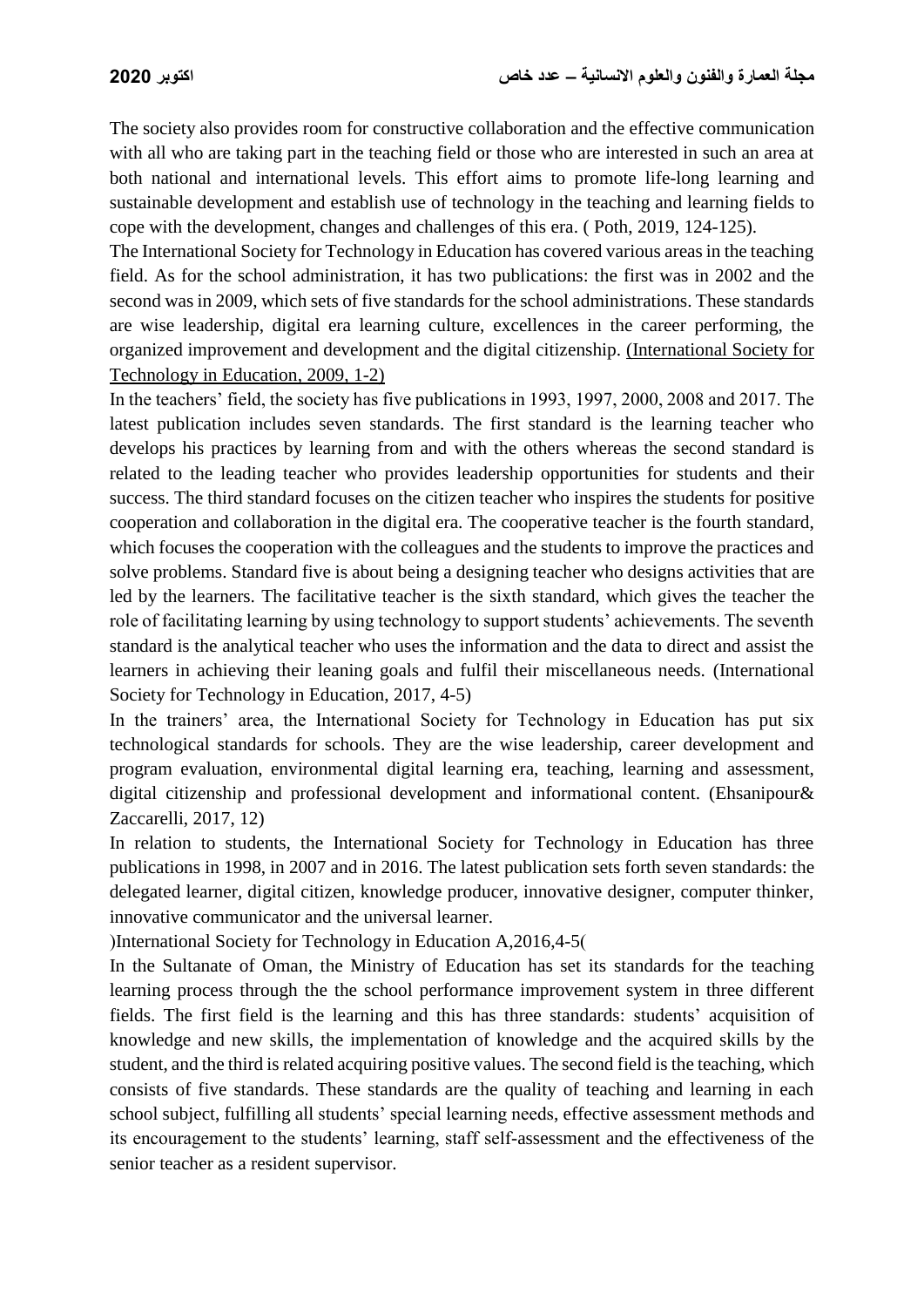The society also provides room for constructive collaboration and the effective communication with all who are taking part in the teaching field or those who are interested in such an area at both national and international levels. This effort aims to promote life-long learning and sustainable development and establish use of technology in the teaching and learning fields to cope with the development, changes and challenges of this era. ( Poth, 2019, 124-125).

The International Society for Technology in Education has covered various areas in the teaching field. As for the school administration, it has two publications: the first was in 2002 and the second was in 2009, which sets of five standards for the school administrations. These standards are wise leadership, digital era learning culture, excellences in the career performing, the organized improvement and development and the digital citizenship. (International Society for Technology in Education, 2009, 1-2)

In the teachers' field, the society has five publications in 1993, 1997, 2000, 2008 and 2017. The latest publication includes seven standards. The first standard is the learning teacher who develops his practices by learning from and with the others whereas the second standard is related to the leading teacher who provides leadership opportunities for students and their success. The third standard focuses on the citizen teacher who inspires the students for positive cooperation and collaboration in the digital era. The cooperative teacher is the fourth standard, which focuses the cooperation with the colleagues and the students to improve the practices and solve problems. Standard five is about being a designing teacher who designs activities that are led by the learners. The facilitative teacher is the sixth standard, which gives the teacher the role of facilitating learning by using technology to support students' achievements. The seventh standard is the analytical teacher who uses the information and the data to direct and assist the learners in achieving their leaning goals and fulfil their miscellaneous needs. (International Society for Technology in Education, 2017, 4-5)

In the trainers' area, the International Society for Technology in Education has put six technological standards for schools. They are the wise leadership, career development and program evaluation, environmental digital learning era, teaching, learning and assessment, digital citizenship and professional development and informational content. (Ehsanipour& Zaccarelli, 2017, 12)

In relation to students, the International Society for Technology in Education has three publications in 1998, in 2007 and in 2016. The latest publication sets forth seven standards: the delegated learner, digital citizen, knowledge producer, innovative designer, computer thinker, innovative communicator and the universal learner.

(International Society for Technology in Education A,  $2016,4-5$ )

In the Sultanate of Oman, the Ministry of Education has set its standards for the teaching learning process through the the school performance improvement system in three different fields. The first field is the learning and this has three standards: students' acquisition of knowledge and new skills, the implementation of knowledge and the acquired skills by the student, and the third is related acquiring positive values. The second field is the teaching, which consists of five standards. These standards are the quality of teaching and learning in each school subject, fulfilling all students' special learning needs, effective assessment methods and its encouragement to the students' learning, staff self-assessment and the effectiveness of the senior teacher as a resident supervisor.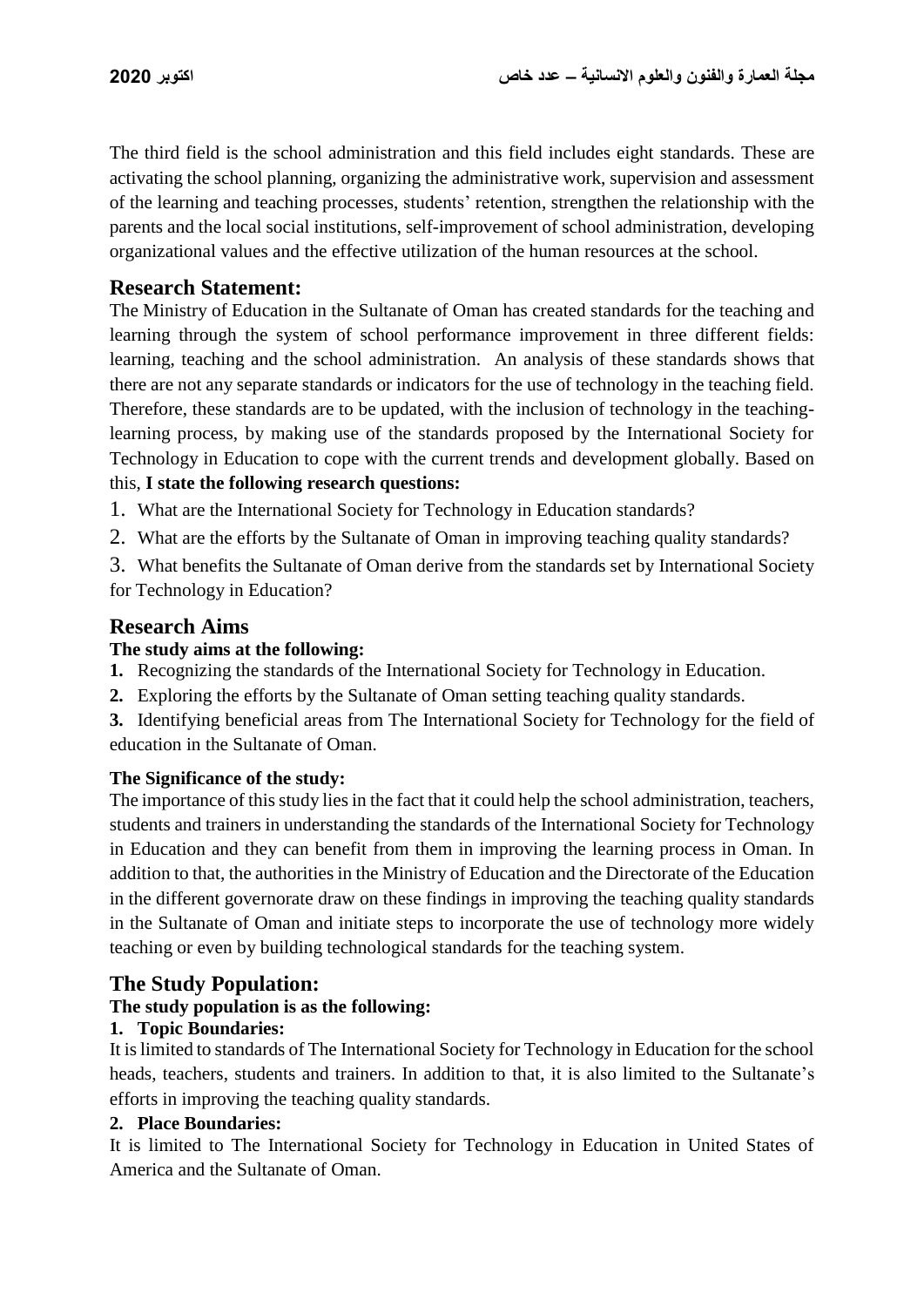The third field is the school administration and this field includes eight standards. These are activating the school planning, organizing the administrative work, supervision and assessment of the learning and teaching processes, students' retention, strengthen the relationship with the parents and the local social institutions, self-improvement of school administration, developing organizational values and the effective utilization of the human resources at the school.

## **Research Statement:**

The Ministry of Education in the Sultanate of Oman has created standards for the teaching and learning through the system of school performance improvement in three different fields: learning, teaching and the school administration. An analysis of these standards shows that there are not any separate standards or indicators for the use of technology in the teaching field. Therefore, these standards are to be updated, with the inclusion of technology in the teachinglearning process, by making use of the standards proposed by the International Society for Technology in Education to cope with the current trends and development globally. Based on this, **I state the following research questions:**

- 1. What are the International Society for Technology in Education standards?
- 2. What are the efforts by the Sultanate of Oman in improving teaching quality standards?
- 3. What benefits the Sultanate of Oman derive from the standards set by International Society for Technology in Education?

# **Research Aims**

## **The study aims at the following:**

- **1.** Recognizing the standards of the International Society for Technology in Education.
- **2.** Exploring the efforts by the Sultanate of Oman setting teaching quality standards.
- **3.** Identifying beneficial areas from The International Society for Technology for the field of education in the Sultanate of Oman.

#### **The Significance of the study:**

The importance of this study lies in the fact that it could help the school administration, teachers, students and trainers in understanding the standards of the International Society for Technology in Education and they can benefit from them in improving the learning process in Oman. In addition to that, the authorities in the Ministry of Education and the Directorate of the Education in the different governorate draw on these findings in improving the teaching quality standards in the Sultanate of Oman and initiate steps to incorporate the use of technology more widely teaching or even by building technological standards for the teaching system.

## **The Study Population:**

#### **The study population is as the following:**

#### **1. Topic Boundaries:**

It is limited to standards of The International Society for Technology in Education for the school heads, teachers, students and trainers. In addition to that, it is also limited to the Sultanate's efforts in improving the teaching quality standards.

#### **2. Place Boundaries:**

It is limited to The International Society for Technology in Education in United States of America and the Sultanate of Oman.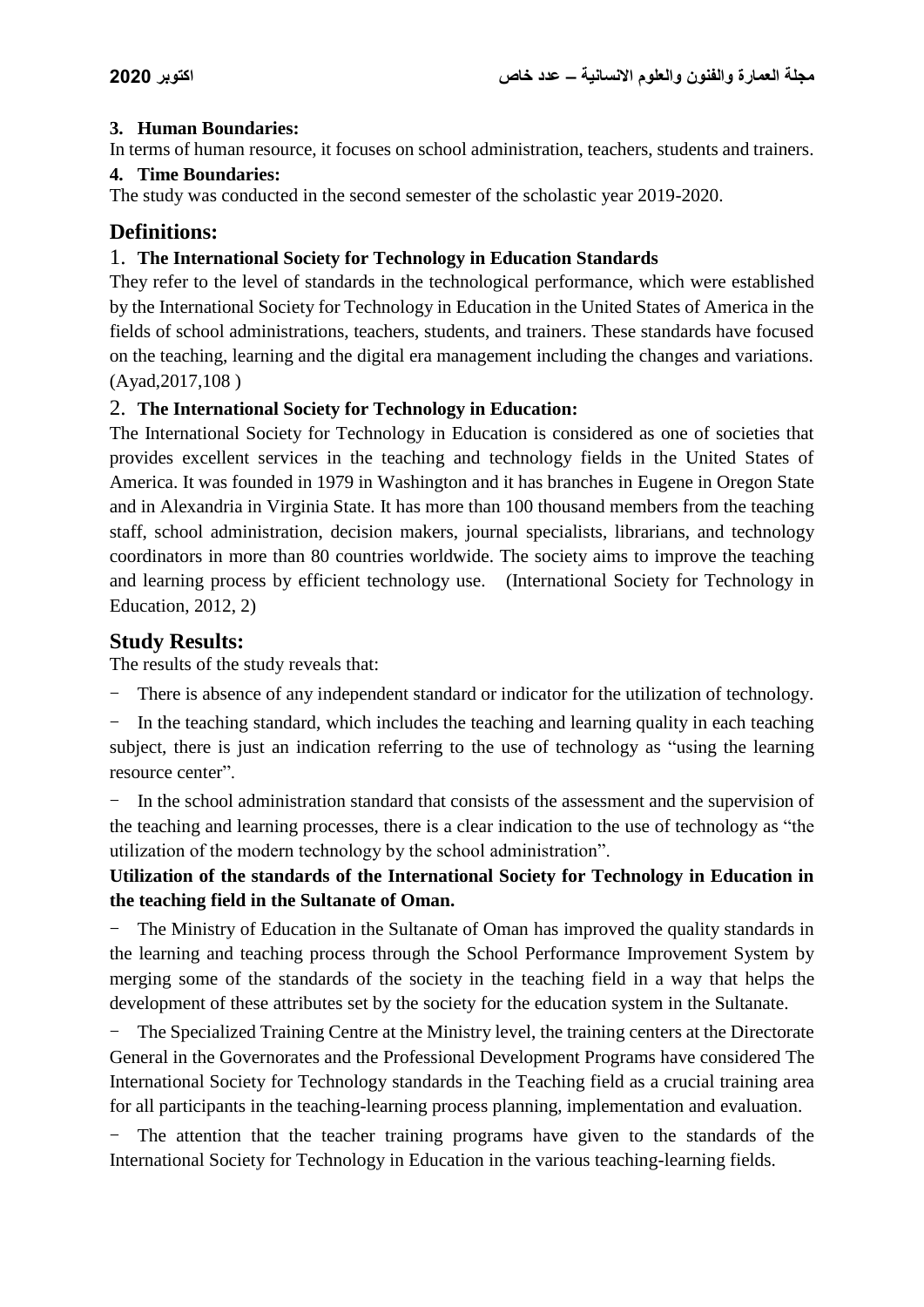## **3. Human Boundaries:**

In terms of human resource, it focuses on school administration, teachers, students and trainers.

## **4. Time Boundaries:**

The study was conducted in the second semester of the scholastic year 2019-2020.

# **Definitions:**

## 1. **The International Society for Technology in Education Standards**

They refer to the level of standards in the technological performance, which were established by the International Society for Technology in Education in the United States of America in the fields of school administrations, teachers, students, and trainers. These standards have focused on the teaching, learning and the digital era management including the changes and variations. (Ayad,2017,108 )

## 2. **The International Society for Technology in Education:**

The International Society for Technology in Education is considered as one of societies that provides excellent services in the teaching and technology fields in the United States of America. It was founded in 1979 in Washington and it has branches in Eugene in Oregon State and in Alexandria in Virginia State. It has more than 100 thousand members from the teaching staff, school administration, decision makers, journal specialists, librarians, and technology coordinators in more than 80 countries worldwide. The society aims to improve the teaching and learning process by efficient technology use. (International Society for Technology in Education, 2012, 2)

# **Study Results:**

The results of the study reveals that:

There is absence of any independent standard or indicator for the utilization of technology.

In the teaching standard, which includes the teaching and learning quality in each teaching subject, there is just an indication referring to the use of technology as "using the learning resource center".

In the school administration standard that consists of the assessment and the supervision of the teaching and learning processes, there is a clear indication to the use of technology as "the utilization of the modern technology by the school administration".

# **Utilization of the standards of the International Society for Technology in Education in the teaching field in the Sultanate of Oman.**

The Ministry of Education in the Sultanate of Oman has improved the quality standards in the learning and teaching process through the School Performance Improvement System by merging some of the standards of the society in the teaching field in a way that helps the development of these attributes set by the society for the education system in the Sultanate.

The Specialized Training Centre at the Ministry level, the training centers at the Directorate General in the Governorates and the Professional Development Programs have considered The International Society for Technology standards in the Teaching field as a crucial training area for all participants in the teaching-learning process planning, implementation and evaluation.

- The attention that the teacher training programs have given to the standards of the International Society for Technology in Education in the various teaching-learning fields.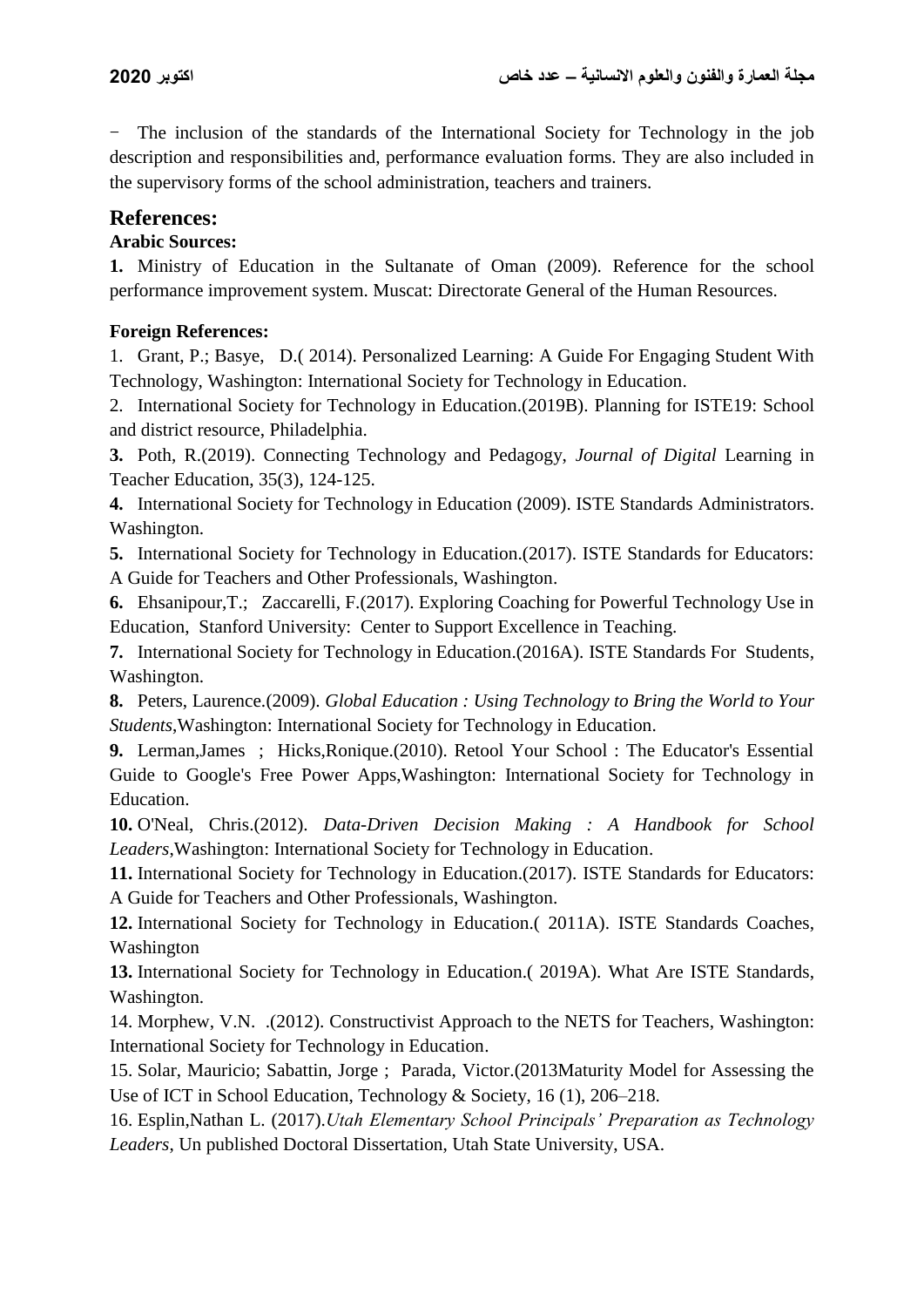- The inclusion of the standards of the International Society for Technology in the job description and responsibilities and, performance evaluation forms. They are also included in the supervisory forms of the school administration, teachers and trainers.

## **References:**

#### **Arabic Sources:**

**1.** Ministry of Education in the Sultanate of Oman (2009). Reference for the school performance improvement system. Muscat: Directorate General of the Human Resources.

#### **Foreign References:**

1. Grant, P.; Basye, D.( 2014). Personalized Learning: A Guide For Engaging Student With Technology, Washington: International Society for Technology in Education.

2. International Society for Technology in Education.(2019B). Planning for ISTE19: School and district resource, Philadelphia.

**3.** Poth, R.(2019). Connecting Technology and Pedagogy, *Journal of Digital* Learning in Teacher Education, 35(3), 124-125.

**4.** International Society for Technology in Education (2009). ISTE Standards Administrators. Washington.

**5.** International Society for Technology in Education.(2017). ISTE Standards for Educators: A Guide for Teachers and Other Professionals, Washington.

**6.** Ehsanipour,T.; Zaccarelli, F.(2017). Exploring Coaching for Powerful Technology Use in Education, Stanford University: Center to Support Excellence in Teaching.

**7.** International Society for Technology in Education.(2016A). ISTE Standards For Students, Washington.

**8.** Peters, Laurence.(2009). *Global Education : Using Technology to Bring the World to Your Students*,Washington: International Society for Technology in Education.

**9.** Lerman,James ; Hicks,Ronique.(2010). Retool Your School : The Educator's Essential Guide to Google's Free Power Apps,Washington: International Society for Technology in Education.

**10.** O'Neal, Chris.(2012). *Data-Driven Decision Making : A Handbook for School Leaders*,Washington: International Society for Technology in Education.

**11.** International Society for Technology in Education.(2017). ISTE Standards for Educators: A Guide for Teachers and Other Professionals, Washington.

**12.** International Society for Technology in Education.( 2011A). ISTE Standards Coaches, Washington

**13.** International Society for Technology in Education.( 2019A). What Are ISTE Standards, Washington.

14. Morphew, V.N. .(2012). Constructivist Approach to the NETS for Teachers, Washington: International Society for Technology in Education.

15. Solar, Mauricio; Sabattin, Jorge ; Parada, Victor.(2013Maturity Model for Assessing the Use of ICT in School Education, Technology & Society, 16 (1), 206–218.

16. Esplin,Nathan L. (2017).*Utah Elementary School Principals' Preparation as Technology Leaders*, Un published Doctoral Dissertation, Utah State University, USA.